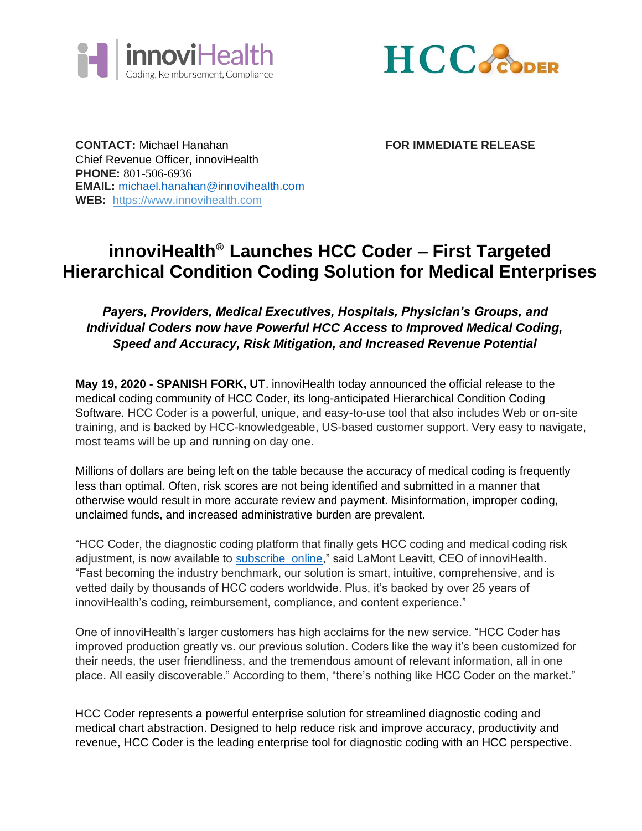



**CONTACT:** Michael Hanahan **FOR IMMEDIATE RELEASE** Chief Revenue Officer, innoviHealth **PHONE:** 801-506-6936 **EMAIL:** [michael.hanahan@innovihealth.com](mailto:michael.hanahan@innovihealth.com)  **WEB:** [https://www.innovihealth.com](https://www.innovihealth.com/)

## **innoviHealth® Launches HCC Coder – First Targeted Hierarchical Condition Coding Solution for Medical Enterprises**

## *Payers, Providers, Medical Executives, Hospitals, Physician's Groups, and Individual Coders now have Powerful HCC Access to Improved Medical Coding, Speed and Accuracy, Risk Mitigation, and Increased Revenue Potential*

**May 19, 2020 - SPANISH FORK, UT**. innoviHealth today announced the official release to the medical coding community of HCC Coder, its long-anticipated Hierarchical Condition Coding Software. HCC Coder is a powerful, unique, and easy-to-use tool that also includes Web or on-site training, and is backed by HCC-knowledgeable, US-based customer support. Very easy to navigate, most teams will be up and running on day one.

Millions of dollars are being left on the table because the accuracy of medical coding is frequently less than optimal. Often, risk scores are not being identified and submitted in a manner that otherwise would result in more accurate review and payment. Misinformation, improper coding, unclaimed funds, and increased administrative burden are prevalent.

"HCC Coder, the diagnostic coding platform that finally gets HCC coding and medical coding risk adjustment, is now available to [subscribe online," said LaMont Leavitt, CEO of innoviHealth.](https://www.hcccoder.com/account/subscribe.php) ["Fast](https://www.hcccoder.com/account/subscribe.php) becoming the industry benchmark, our solution is smart, intuitive, comprehensive, and is vetted daily by thousands of HCC coders worldwide. Plus, it's backed by over 25 years of innoviHealth's coding, reimbursement, compliance, and content experience."

One of innoviHealth's larger customers has high acclaims for the new service. "HCC Coder has improved production greatly vs. our previous solution. Coders like the way it's been customized for their needs, the user friendliness, and the tremendous amount of relevant information, all in one place. All easily discoverable." According to them, "there's nothing like HCC Coder on the market."

HCC Coder represents a powerful enterprise solution for streamlined diagnostic coding and medical chart abstraction. Designed to help reduce risk and improve accuracy, productivity and revenue, HCC Coder is the leading enterprise tool for diagnostic coding with an HCC perspective.